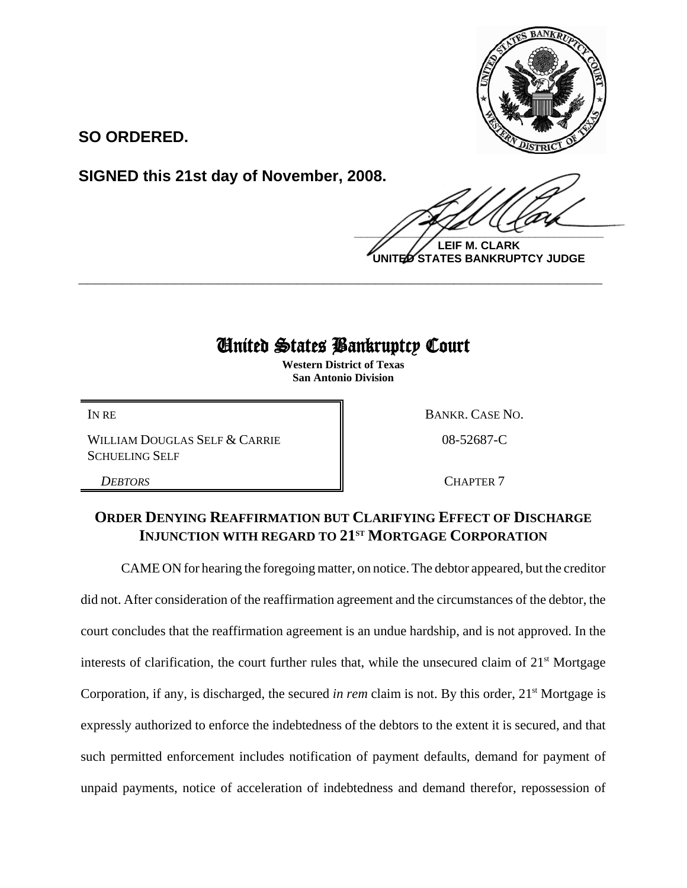

**SO ORDERED.**

**SIGNED this 21st day of November, 2008.**

 $\frac{1}{2}$ 

**LEIF M. CLARK UNITED STATES BANKRUPTCY JUDGE**

## United States Bankruptcy Court

**\_\_\_\_\_\_\_\_\_\_\_\_\_\_\_\_\_\_\_\_\_\_\_\_\_\_\_\_\_\_\_\_\_\_\_\_\_\_\_\_\_\_\_\_\_\_\_\_\_\_\_\_\_\_\_\_\_\_\_\_**

**Western District of Texas San Antonio Division**

WILLIAM DOUGLAS SELF & CARRIE SCHUELING SELF

IN RE BANKR. CASE NO.

08-52687-C

**DEBTORS** CHAPTER 7

## **ORDER DENYING REAFFIRMATION BUT CLARIFYING EFFECT OF DISCHARGE INJUNCTION WITH REGARD TO 21<sup>ST</sup> MORTGAGE CORPORATION**

CAME ON for hearing the foregoing matter, on notice. The debtor appeared, but the creditor did not. After consideration of the reaffirmation agreement and the circumstances of the debtor, the court concludes that the reaffirmation agreement is an undue hardship, and is not approved. In the interests of clarification, the court further rules that, while the unsecured claim of  $21<sup>st</sup>$  Mortgage Corporation, if any, is discharged, the secured *in rem* claim is not. By this order, 21<sup>st</sup> Mortgage is expressly authorized to enforce the indebtedness of the debtors to the extent it is secured, and that such permitted enforcement includes notification of payment defaults, demand for payment of unpaid payments, notice of acceleration of indebtedness and demand therefor, repossession of